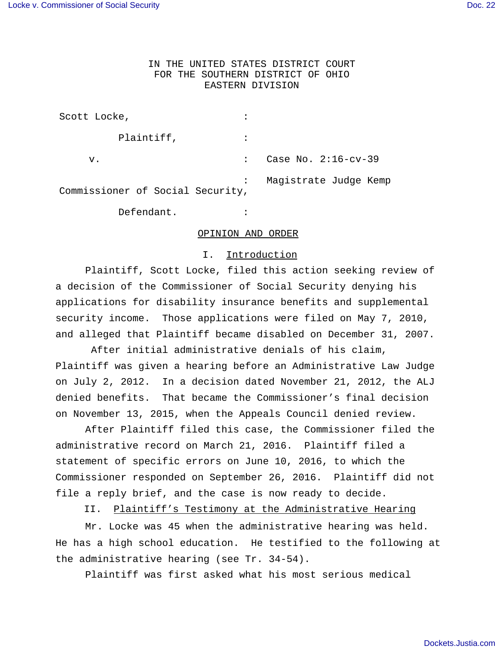# IN THE UNITED STATES DISTRICT COURT FOR THE SOUTHERN DISTRICT OF OHIO EASTERN DIVISION

| Scott Locke,                     |                |                       |
|----------------------------------|----------------|-----------------------|
| Plaintiff,                       |                |                       |
| v.                               |                | Case No. 2:16-cv-39   |
| Commissioner of Social Security, | $\ddot{\cdot}$ | Magistrate Judge Kemp |

Defendant. :

#### OPINION AND ORDER

## I. Introduction

 Plaintiff, Scott Locke, filed this action seeking review of a decision of the Commissioner of Social Security denying his applications for disability insurance benefits and supplemental security income. Those applications were filed on May 7, 2010, and alleged that Plaintiff became disabled on December 31, 2007.

 After initial administrative denials of his claim, Plaintiff was given a hearing before an Administrative Law Judge on July 2, 2012. In a decision dated November 21, 2012, the ALJ denied benefits. That became the Commissioner's final decision on November 13, 2015, when the Appeals Council denied review.

After Plaintiff filed this case, the Commissioner filed the administrative record on March 21, 2016. Plaintiff filed a statement of specific errors on June 10, 2016, to which the Commissioner responded on September 26, 2016. Plaintiff did not file a reply brief, and the case is now ready to decide.

II. Plaintiff's Testimony at the Administrative Hearing

 Mr. Locke was 45 when the administrative hearing was held. He has a high school education. He testified to the following at the administrative hearing (see Tr. 34-54).

Plaintiff was first asked what his most serious medical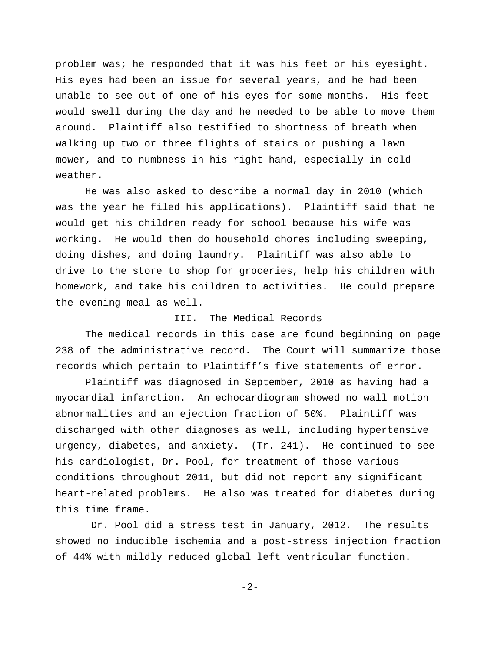problem was; he responded that it was his feet or his eyesight. His eyes had been an issue for several years, and he had been unable to see out of one of his eyes for some months. His feet would swell during the day and he needed to be able to move them around. Plaintiff also testified to shortness of breath when walking up two or three flights of stairs or pushing a lawn mower, and to numbness in his right hand, especially in cold weather.

He was also asked to describe a normal day in 2010 (which was the year he filed his applications). Plaintiff said that he would get his children ready for school because his wife was working. He would then do household chores including sweeping, doing dishes, and doing laundry. Plaintiff was also able to drive to the store to shop for groceries, help his children with homework, and take his children to activities. He could prepare the evening meal as well.

## III. The Medical Records

The medical records in this case are found beginning on page 238 of the administrative record. The Court will summarize those records which pertain to Plaintiff's five statements of error.

Plaintiff was diagnosed in September, 2010 as having had a myocardial infarction. An echocardiogram showed no wall motion abnormalities and an ejection fraction of 50%. Plaintiff was discharged with other diagnoses as well, including hypertensive urgency, diabetes, and anxiety. (Tr. 241). He continued to see his cardiologist, Dr. Pool, for treatment of those various conditions throughout 2011, but did not report any significant heart-related problems. He also was treated for diabetes during this time frame.

 Dr. Pool did a stress test in January, 2012. The results showed no inducible ischemia and a post-stress injection fraction of 44% with mildly reduced global left ventricular function.

-2-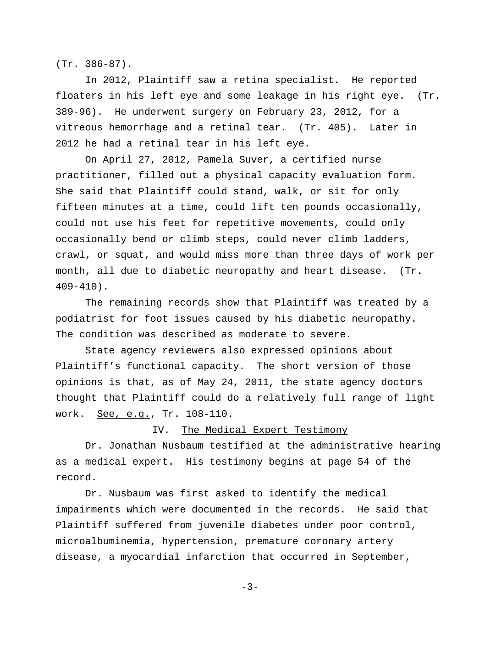(Tr. 386-87).

In 2012, Plaintiff saw a retina specialist. He reported floaters in his left eye and some leakage in his right eye. (Tr. 389-96). He underwent surgery on February 23, 2012, for a vitreous hemorrhage and a retinal tear. (Tr. 405). Later in 2012 he had a retinal tear in his left eye.

On April 27, 2012, Pamela Suver, a certified nurse practitioner, filled out a physical capacity evaluation form. She said that Plaintiff could stand, walk, or sit for only fifteen minutes at a time, could lift ten pounds occasionally, could not use his feet for repetitive movements, could only occasionally bend or climb steps, could never climb ladders, crawl, or squat, and would miss more than three days of work per month, all due to diabetic neuropathy and heart disease. (Tr. 409-410).

The remaining records show that Plaintiff was treated by a podiatrist for foot issues caused by his diabetic neuropathy. The condition was described as moderate to severe.

State agency reviewers also expressed opinions about Plaintiff's functional capacity. The short version of those opinions is that, as of May 24, 2011, the state agency doctors thought that Plaintiff could do a relatively full range of light work. See, e.g., Tr. 108-110.

### IV. The Medical Expert Testimony

Dr. Jonathan Nusbaum testified at the administrative hearing as a medical expert. His testimony begins at page 54 of the record.

Dr. Nusbaum was first asked to identify the medical impairments which were documented in the records. He said that Plaintiff suffered from juvenile diabetes under poor control, microalbuminemia, hypertension, premature coronary artery disease, a myocardial infarction that occurred in September,

 $-3-$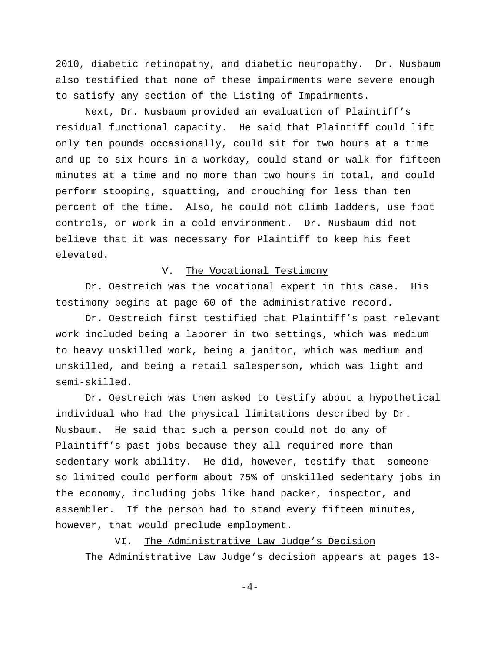2010, diabetic retinopathy, and diabetic neuropathy. Dr. Nusbaum also testified that none of these impairments were severe enough to satisfy any section of the Listing of Impairments.

Next, Dr. Nusbaum provided an evaluation of Plaintiff's residual functional capacity. He said that Plaintiff could lift only ten pounds occasionally, could sit for two hours at a time and up to six hours in a workday, could stand or walk for fifteen minutes at a time and no more than two hours in total, and could perform stooping, squatting, and crouching for less than ten percent of the time. Also, he could not climb ladders, use foot controls, or work in a cold environment. Dr. Nusbaum did not believe that it was necessary for Plaintiff to keep his feet elevated.

### V. The Vocational Testimony

Dr. Oestreich was the vocational expert in this case. His testimony begins at page 60 of the administrative record.

Dr. Oestreich first testified that Plaintiff's past relevant work included being a laborer in two settings, which was medium to heavy unskilled work, being a janitor, which was medium and unskilled, and being a retail salesperson, which was light and semi-skilled.

Dr. Oestreich was then asked to testify about a hypothetical individual who had the physical limitations described by Dr. Nusbaum. He said that such a person could not do any of Plaintiff's past jobs because they all required more than sedentary work ability. He did, however, testify that someone so limited could perform about 75% of unskilled sedentary jobs in the economy, including jobs like hand packer, inspector, and assembler. If the person had to stand every fifteen minutes, however, that would preclude employment.

 VI. The Administrative Law Judge's Decision The Administrative Law Judge's decision appears at pages 13-

 $-4-$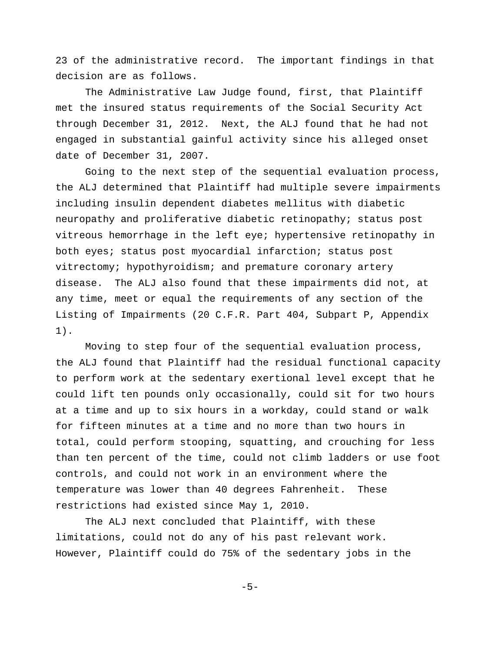23 of the administrative record. The important findings in that decision are as follows.

The Administrative Law Judge found, first, that Plaintiff met the insured status requirements of the Social Security Act through December 31, 2012. Next, the ALJ found that he had not engaged in substantial gainful activity since his alleged onset date of December 31, 2007.

Going to the next step of the sequential evaluation process, the ALJ determined that Plaintiff had multiple severe impairments including insulin dependent diabetes mellitus with diabetic neuropathy and proliferative diabetic retinopathy; status post vitreous hemorrhage in the left eye; hypertensive retinopathy in both eyes; status post myocardial infarction; status post vitrectomy; hypothyroidism; and premature coronary artery disease. The ALJ also found that these impairments did not, at any time, meet or equal the requirements of any section of the Listing of Impairments (20 C.F.R. Part 404, Subpart P, Appendix 1).

Moving to step four of the sequential evaluation process, the ALJ found that Plaintiff had the residual functional capacity to perform work at the sedentary exertional level except that he could lift ten pounds only occasionally, could sit for two hours at a time and up to six hours in a workday, could stand or walk for fifteen minutes at a time and no more than two hours in total, could perform stooping, squatting, and crouching for less than ten percent of the time, could not climb ladders or use foot controls, and could not work in an environment where the temperature was lower than 40 degrees Fahrenheit. These restrictions had existed since May 1, 2010.

The ALJ next concluded that Plaintiff, with these limitations, could not do any of his past relevant work. However, Plaintiff could do 75% of the sedentary jobs in the

-5-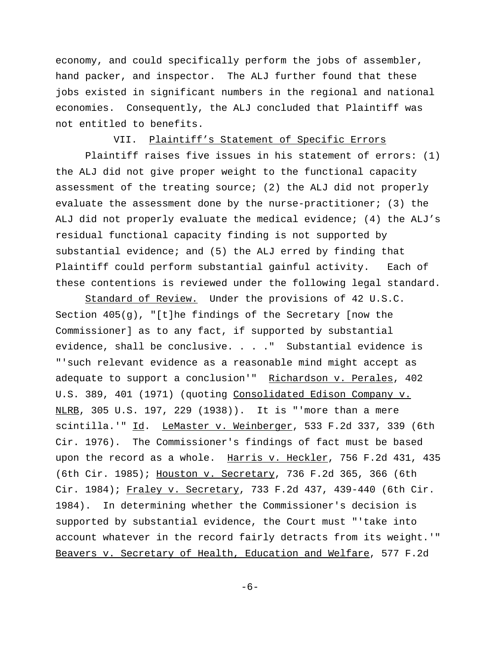economy, and could specifically perform the jobs of assembler, hand packer, and inspector. The ALJ further found that these jobs existed in significant numbers in the regional and national economies. Consequently, the ALJ concluded that Plaintiff was not entitled to benefits.

# VII. Plaintiff's Statement of Specific Errors

 Plaintiff raises five issues in his statement of errors: (1) the ALJ did not give proper weight to the functional capacity assessment of the treating source; (2) the ALJ did not properly evaluate the assessment done by the nurse-practitioner; (3) the ALJ did not properly evaluate the medical evidence; (4) the ALJ's residual functional capacity finding is not supported by substantial evidence; and (5) the ALJ erred by finding that Plaintiff could perform substantial gainful activity. Each of these contentions is reviewed under the following legal standard.

Standard of Review. Under the provisions of 42 U.S.C. Section  $405(g)$ , "[t]he findings of the Secretary [now the Commissioner] as to any fact, if supported by substantial evidence, shall be conclusive. . . ." Substantial evidence is "'such relevant evidence as a reasonable mind might accept as adequate to support a conclusion'" Richardson v. Perales, 402 U.S. 389, 401 (1971) (quoting Consolidated Edison Company v. NLRB, 305 U.S. 197, 229 (1938)). It is "'more than a mere scintilla.'" Id. LeMaster v. Weinberger, 533 F.2d 337, 339 (6th Cir. 1976). The Commissioner's findings of fact must be based upon the record as a whole. Harris v. Heckler, 756 F.2d 431, 435 (6th Cir. 1985); Houston v. Secretary, 736 F.2d 365, 366 (6th Cir. 1984); Fraley v. Secretary, 733 F.2d 437, 439-440 (6th Cir. 1984). In determining whether the Commissioner's decision is supported by substantial evidence, the Court must "'take into account whatever in the record fairly detracts from its weight.'" Beavers v. Secretary of Health, Education and Welfare, 577 F.2d

-6-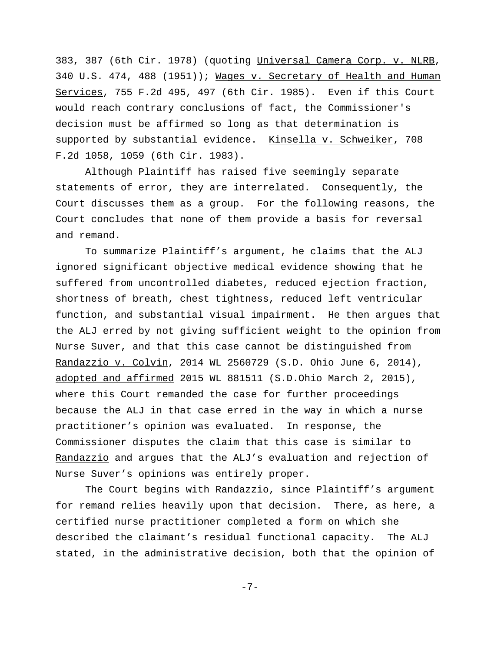383, 387 (6th Cir. 1978) (quoting Universal Camera Corp. v. NLRB, 340 U.S. 474, 488 (1951)); Wages v. Secretary of Health and Human Services, 755 F.2d 495, 497 (6th Cir. 1985). Even if this Court would reach contrary conclusions of fact, the Commissioner's decision must be affirmed so long as that determination is supported by substantial evidence. Kinsella v. Schweiker, 708 F.2d 1058, 1059 (6th Cir. 1983).

Although Plaintiff has raised five seemingly separate statements of error, they are interrelated. Consequently, the Court discusses them as a group. For the following reasons, the Court concludes that none of them provide a basis for reversal and remand.

To summarize Plaintiff's argument, he claims that the ALJ ignored significant objective medical evidence showing that he suffered from uncontrolled diabetes, reduced ejection fraction, shortness of breath, chest tightness, reduced left ventricular function, and substantial visual impairment. He then argues that the ALJ erred by not giving sufficient weight to the opinion from Nurse Suver, and that this case cannot be distinguished from Randazzio v. Colvin, 2014 WL 2560729 (S.D. Ohio June 6, 2014), adopted and affirmed 2015 WL 881511 (S.D.Ohio March 2, 2015), where this Court remanded the case for further proceedings because the ALJ in that case erred in the way in which a nurse practitioner's opinion was evaluated. In response, the Commissioner disputes the claim that this case is similar to Randazzio and argues that the ALJ's evaluation and rejection of Nurse Suver's opinions was entirely proper.

The Court begins with Randazzio, since Plaintiff's argument for remand relies heavily upon that decision. There, as here, a certified nurse practitioner completed a form on which she described the claimant's residual functional capacity. The ALJ stated, in the administrative decision, both that the opinion of

-7-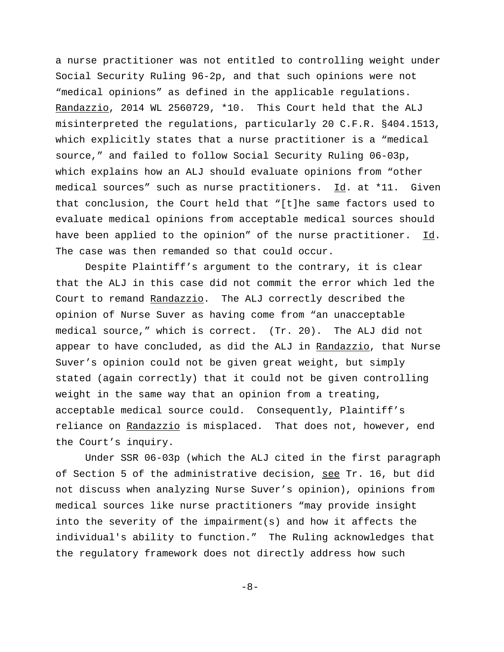a nurse practitioner was not entitled to controlling weight under Social Security Ruling 96-2p, and that such opinions were not "medical opinions" as defined in the applicable regulations. Randazzio, 2014 WL 2560729, \*10. This Court held that the ALJ misinterpreted the regulations, particularly 20 C.F.R. §404.1513, which explicitly states that a nurse practitioner is a "medical source," and failed to follow Social Security Ruling 06-03p, which explains how an ALJ should evaluate opinions from "other medical sources" such as nurse practitioners. Id. at \*11. Given that conclusion, the Court held that "[t]he same factors used to evaluate medical opinions from acceptable medical sources should have been applied to the opinion" of the nurse practitioner. Id. The case was then remanded so that could occur.

Despite Plaintiff's argument to the contrary, it is clear that the ALJ in this case did not commit the error which led the Court to remand Randazzio. The ALJ correctly described the opinion of Nurse Suver as having come from "an unacceptable medical source," which is correct. (Tr. 20). The ALJ did not appear to have concluded, as did the ALJ in Randazzio, that Nurse Suver's opinion could not be given great weight, but simply stated (again correctly) that it could not be given controlling weight in the same way that an opinion from a treating, acceptable medical source could. Consequently, Plaintiff's reliance on Randazzio is misplaced. That does not, however, end the Court's inquiry.

Under SSR 06-03p (which the ALJ cited in the first paragraph of Section 5 of the administrative decision, see Tr. 16, but did not discuss when analyzing Nurse Suver's opinion), opinions from medical sources like nurse practitioners "may provide insight into the severity of the impairment(s) and how it affects the individual's ability to function." The Ruling acknowledges that the regulatory framework does not directly address how such

-8-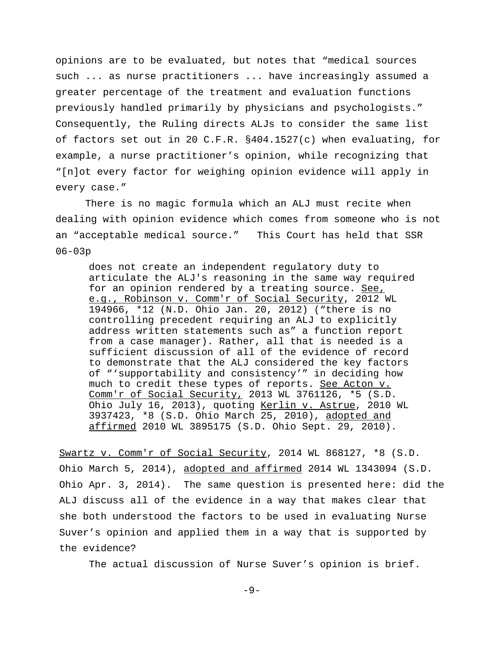opinions are to be evaluated, but notes that "medical sources such ... as nurse practitioners ... have increasingly assumed a greater percentage of the treatment and evaluation functions previously handled primarily by physicians and psychologists." Consequently, the Ruling directs ALJs to consider the same list of factors set out in 20 C.F.R. §404.1527(c) when evaluating, for example, a nurse practitioner's opinion, while recognizing that "[n]ot every factor for weighing opinion evidence will apply in every case."

There is no magic formula which an ALJ must recite when dealing with opinion evidence which comes from someone who is not an "acceptable medical source." This Court has held that SSR 06-03p

does not create an independent regulatory duty to articulate the ALJ's reasoning in the same way required for an opinion rendered by a treating source. See, e.g., Robinson v. Comm'r of Social Security, 2012 WL 194966, \*12 (N.D. Ohio Jan. 20, 2012) ("there is no controlling precedent requiring an ALJ to explicitly address written statements such as" a function report from a case manager). Rather, all that is needed is a sufficient discussion of all of the evidence of record to demonstrate that the ALJ considered the key factors of "'supportability and consistency'" in deciding how much to credit these types of reports. See Acton v. Comm'r of Social Security, 2013 WL 3761126, \*5 (S.D. Ohio July 16, 2013), quoting Kerlin v. Astrue, 2010 WL 3937423, \*8 (S.D. Ohio March 25, 2010), adopted and affirmed 2010 WL 3895175 (S.D. Ohio Sept. 29, 2010).

Swartz v. Comm'r of Social Security, 2014 WL 868127, \*8 (S.D. Ohio March 5, 2014), adopted and affirmed 2014 WL 1343094 (S.D. Ohio Apr. 3, 2014). The same question is presented here: did the ALJ discuss all of the evidence in a way that makes clear that she both understood the factors to be used in evaluating Nurse Suver's opinion and applied them in a way that is supported by the evidence?

The actual discussion of Nurse Suver's opinion is brief.

-9-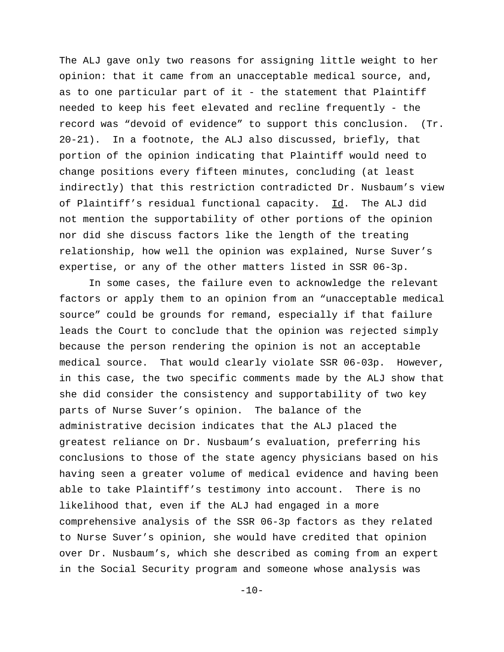The ALJ gave only two reasons for assigning little weight to her opinion: that it came from an unacceptable medical source, and, as to one particular part of it - the statement that Plaintiff needed to keep his feet elevated and recline frequently - the record was "devoid of evidence" to support this conclusion. (Tr. 20-21). In a footnote, the ALJ also discussed, briefly, that portion of the opinion indicating that Plaintiff would need to change positions every fifteen minutes, concluding (at least indirectly) that this restriction contradicted Dr. Nusbaum's view of Plaintiff's residual functional capacity. Id. The ALJ did not mention the supportability of other portions of the opinion nor did she discuss factors like the length of the treating relationship, how well the opinion was explained, Nurse Suver's expertise, or any of the other matters listed in SSR 06-3p.

In some cases, the failure even to acknowledge the relevant factors or apply them to an opinion from an "unacceptable medical source" could be grounds for remand, especially if that failure leads the Court to conclude that the opinion was rejected simply because the person rendering the opinion is not an acceptable medical source. That would clearly violate SSR 06-03p. However, in this case, the two specific comments made by the ALJ show that she did consider the consistency and supportability of two key parts of Nurse Suver's opinion. The balance of the administrative decision indicates that the ALJ placed the greatest reliance on Dr. Nusbaum's evaluation, preferring his conclusions to those of the state agency physicians based on his having seen a greater volume of medical evidence and having been able to take Plaintiff's testimony into account. There is no likelihood that, even if the ALJ had engaged in a more comprehensive analysis of the SSR 06-3p factors as they related to Nurse Suver's opinion, she would have credited that opinion over Dr. Nusbaum's, which she described as coming from an expert in the Social Security program and someone whose analysis was

 $-10-$